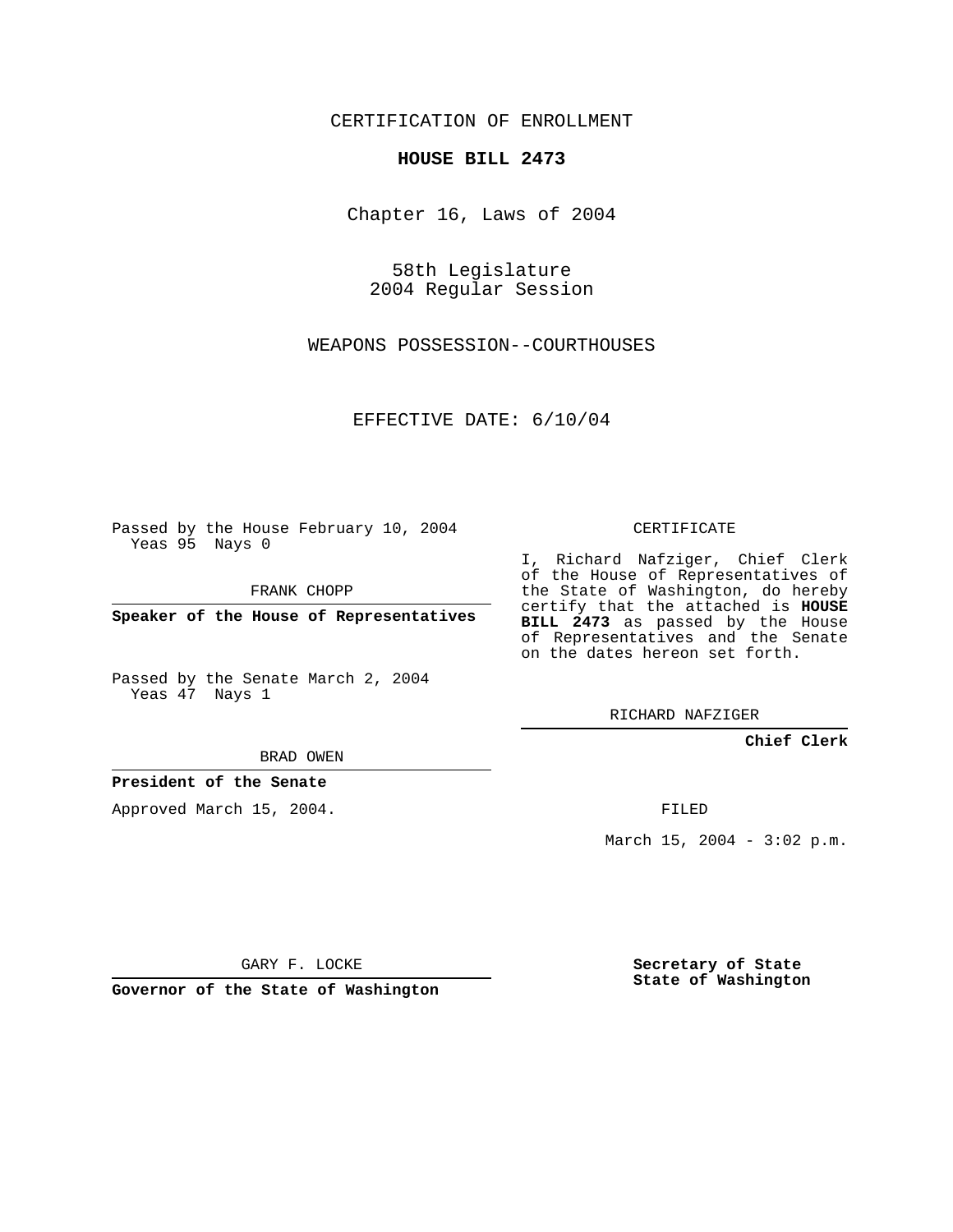CERTIFICATION OF ENROLLMENT

## **HOUSE BILL 2473**

Chapter 16, Laws of 2004

58th Legislature 2004 Regular Session

WEAPONS POSSESSION--COURTHOUSES

EFFECTIVE DATE: 6/10/04

Passed by the House February 10, 2004 Yeas 95 Nays 0

FRANK CHOPP

**Speaker of the House of Representatives**

Passed by the Senate March 2, 2004 Yeas 47 Nays 1

BRAD OWEN

**President of the Senate**

Approved March 15, 2004.

CERTIFICATE

I, Richard Nafziger, Chief Clerk of the House of Representatives of the State of Washington, do hereby certify that the attached is **HOUSE BILL 2473** as passed by the House of Representatives and the Senate on the dates hereon set forth.

RICHARD NAFZIGER

**Chief Clerk**

FILED

March 15, 2004 -  $3:02$  p.m.

GARY F. LOCKE

**Governor of the State of Washington**

**Secretary of State State of Washington**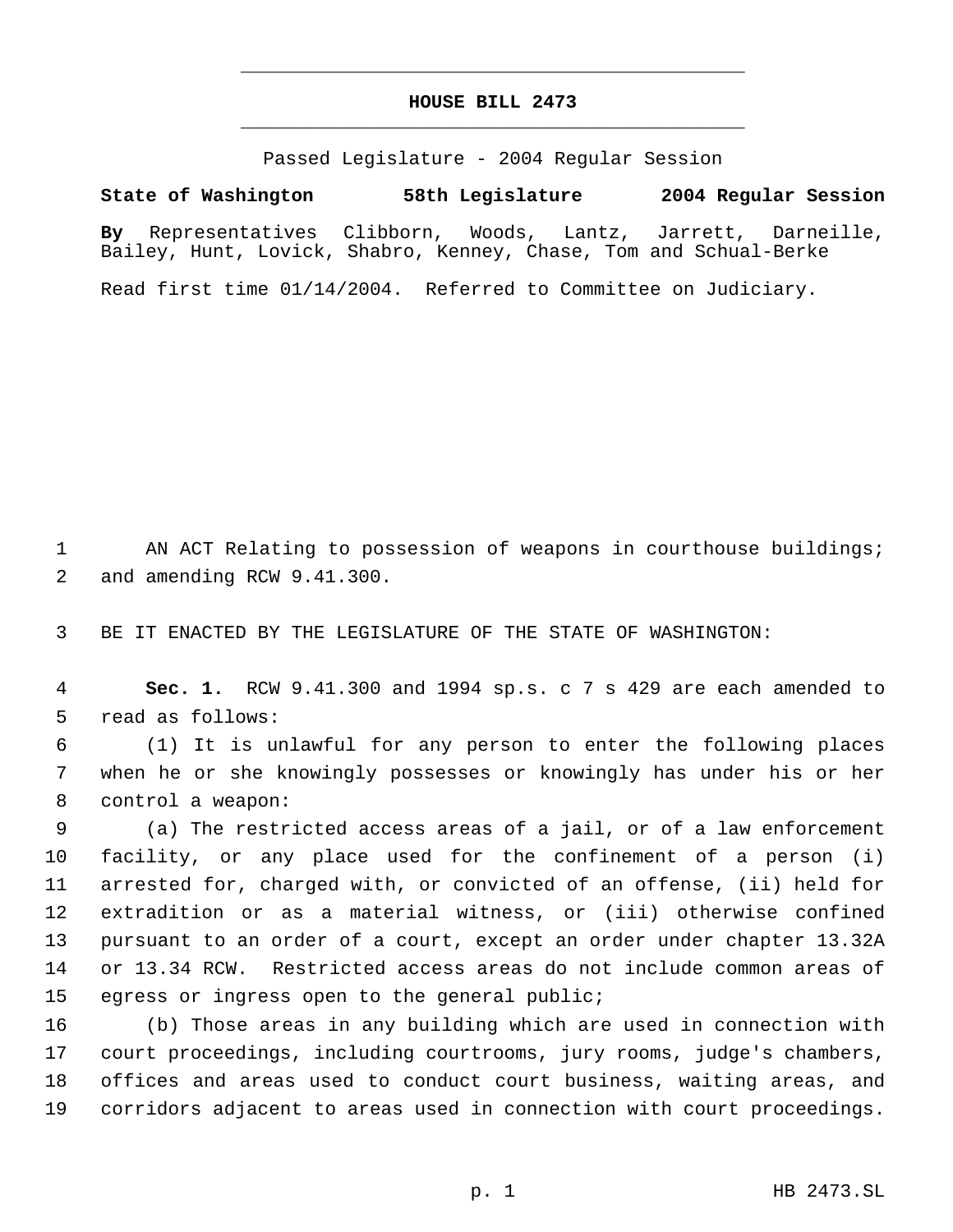## **HOUSE BILL 2473** \_\_\_\_\_\_\_\_\_\_\_\_\_\_\_\_\_\_\_\_\_\_\_\_\_\_\_\_\_\_\_\_\_\_\_\_\_\_\_\_\_\_\_\_\_

\_\_\_\_\_\_\_\_\_\_\_\_\_\_\_\_\_\_\_\_\_\_\_\_\_\_\_\_\_\_\_\_\_\_\_\_\_\_\_\_\_\_\_\_\_

Passed Legislature - 2004 Regular Session

**State of Washington 58th Legislature 2004 Regular Session**

**By** Representatives Clibborn, Woods, Lantz, Jarrett, Darneille, Bailey, Hunt, Lovick, Shabro, Kenney, Chase, Tom and Schual-Berke

Read first time 01/14/2004. Referred to Committee on Judiciary.

 AN ACT Relating to possession of weapons in courthouse buildings; and amending RCW 9.41.300.

BE IT ENACTED BY THE LEGISLATURE OF THE STATE OF WASHINGTON:

 **Sec. 1.** RCW 9.41.300 and 1994 sp.s. c 7 s 429 are each amended to read as follows:

 (1) It is unlawful for any person to enter the following places when he or she knowingly possesses or knowingly has under his or her control a weapon:

 (a) The restricted access areas of a jail, or of a law enforcement facility, or any place used for the confinement of a person (i) arrested for, charged with, or convicted of an offense, (ii) held for extradition or as a material witness, or (iii) otherwise confined pursuant to an order of a court, except an order under chapter 13.32A or 13.34 RCW. Restricted access areas do not include common areas of egress or ingress open to the general public;

 (b) Those areas in any building which are used in connection with court proceedings, including courtrooms, jury rooms, judge's chambers, offices and areas used to conduct court business, waiting areas, and corridors adjacent to areas used in connection with court proceedings.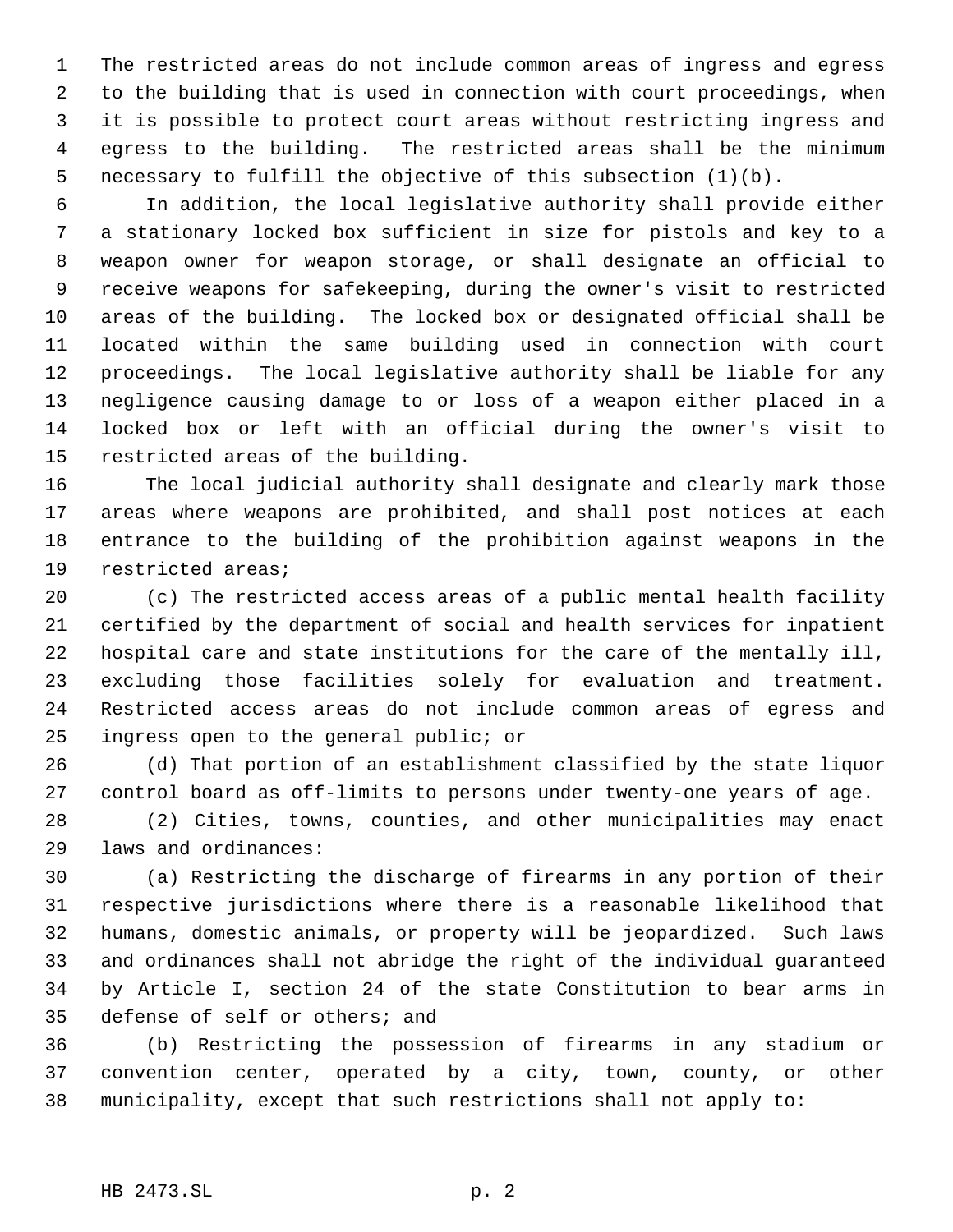The restricted areas do not include common areas of ingress and egress to the building that is used in connection with court proceedings, when it is possible to protect court areas without restricting ingress and egress to the building. The restricted areas shall be the minimum necessary to fulfill the objective of this subsection (1)(b).

 In addition, the local legislative authority shall provide either a stationary locked box sufficient in size for pistols and key to a weapon owner for weapon storage, or shall designate an official to receive weapons for safekeeping, during the owner's visit to restricted areas of the building. The locked box or designated official shall be located within the same building used in connection with court proceedings. The local legislative authority shall be liable for any negligence causing damage to or loss of a weapon either placed in a locked box or left with an official during the owner's visit to restricted areas of the building.

 The local judicial authority shall designate and clearly mark those areas where weapons are prohibited, and shall post notices at each entrance to the building of the prohibition against weapons in the restricted areas;

 (c) The restricted access areas of a public mental health facility certified by the department of social and health services for inpatient hospital care and state institutions for the care of the mentally ill, excluding those facilities solely for evaluation and treatment. Restricted access areas do not include common areas of egress and ingress open to the general public; or

 (d) That portion of an establishment classified by the state liquor control board as off-limits to persons under twenty-one years of age.

 (2) Cities, towns, counties, and other municipalities may enact laws and ordinances:

 (a) Restricting the discharge of firearms in any portion of their respective jurisdictions where there is a reasonable likelihood that humans, domestic animals, or property will be jeopardized. Such laws and ordinances shall not abridge the right of the individual guaranteed by Article I, section 24 of the state Constitution to bear arms in defense of self or others; and

 (b) Restricting the possession of firearms in any stadium or convention center, operated by a city, town, county, or other municipality, except that such restrictions shall not apply to: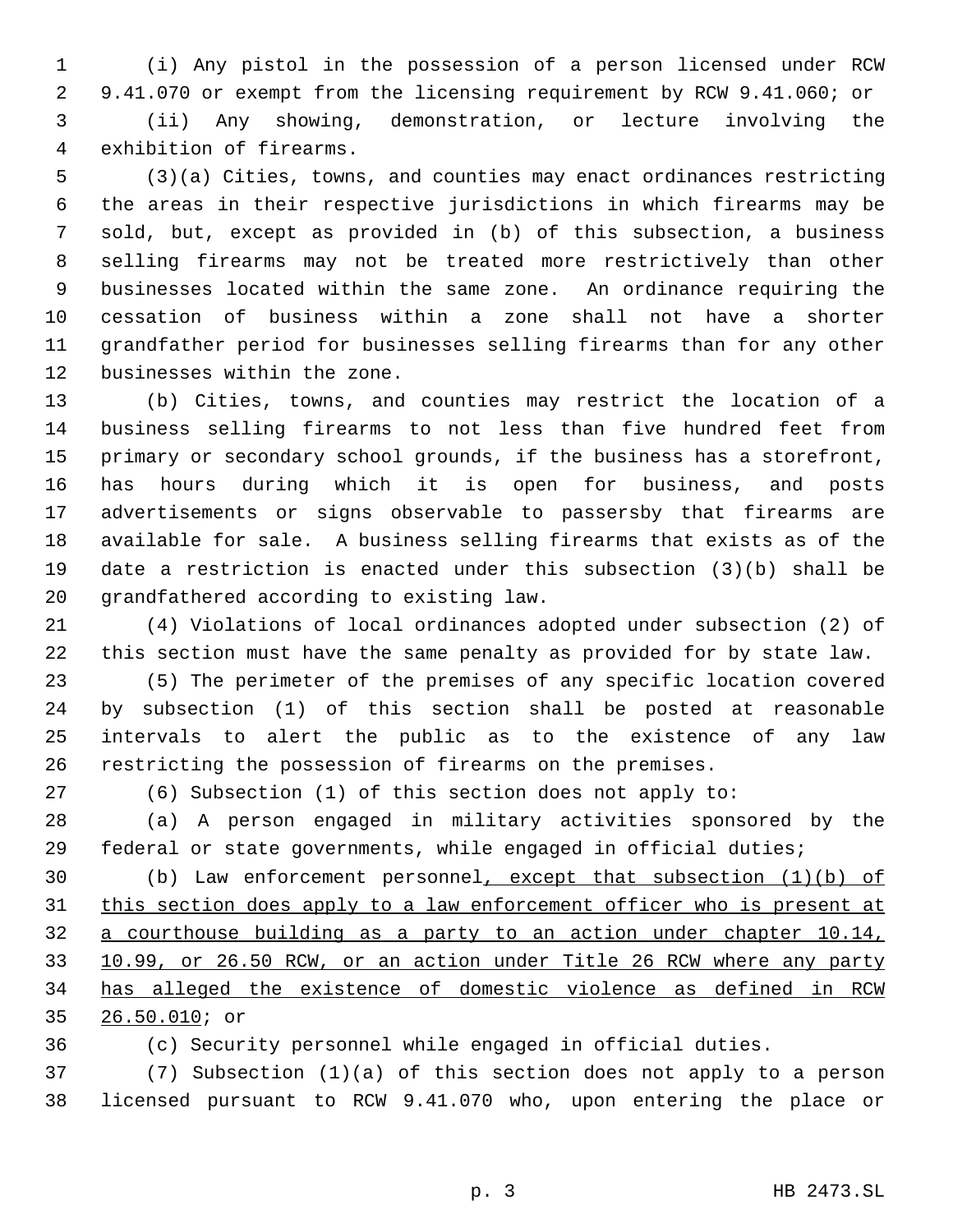(i) Any pistol in the possession of a person licensed under RCW 9.41.070 or exempt from the licensing requirement by RCW 9.41.060; or (ii) Any showing, demonstration, or lecture involving the exhibition of firearms.

 (3)(a) Cities, towns, and counties may enact ordinances restricting the areas in their respective jurisdictions in which firearms may be sold, but, except as provided in (b) of this subsection, a business selling firearms may not be treated more restrictively than other businesses located within the same zone. An ordinance requiring the cessation of business within a zone shall not have a shorter grandfather period for businesses selling firearms than for any other businesses within the zone.

 (b) Cities, towns, and counties may restrict the location of a business selling firearms to not less than five hundred feet from primary or secondary school grounds, if the business has a storefront, has hours during which it is open for business, and posts advertisements or signs observable to passersby that firearms are available for sale. A business selling firearms that exists as of the date a restriction is enacted under this subsection (3)(b) shall be grandfathered according to existing law.

 (4) Violations of local ordinances adopted under subsection (2) of this section must have the same penalty as provided for by state law.

 (5) The perimeter of the premises of any specific location covered by subsection (1) of this section shall be posted at reasonable intervals to alert the public as to the existence of any law restricting the possession of firearms on the premises.

(6) Subsection (1) of this section does not apply to:

 (a) A person engaged in military activities sponsored by the federal or state governments, while engaged in official duties;

 (b) Law enforcement personnel, except that subsection (1)(b) of 31 this section does apply to a law enforcement officer who is present at a courthouse building as a party to an action under chapter 10.14, 10.99, or 26.50 RCW, or an action under Title 26 RCW where any party has alleged the existence of domestic violence as defined in RCW 26.50.010; or

(c) Security personnel while engaged in official duties.

 (7) Subsection (1)(a) of this section does not apply to a person licensed pursuant to RCW 9.41.070 who, upon entering the place or